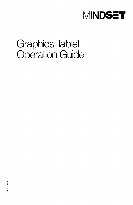

## Graphics Tablet **Operation Guide**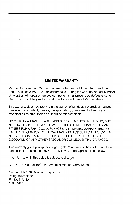#### **LIMITED WARRANTY**

Mindset Corporation ("Mindset") warrants the product it manufactures for a period of 90 days from the date of purchase. During the warranty period, Mindset at its option will repair or replace components that prove to be defective at no charge provided the product is returned to an authorized Mindset dealer.

This warranty does not apply if, in the opinion of Mindset, the product has been damaged by accident, misuse, misapplication, or as a result of service or modification by other than an authorized Mindset dealer.

NO OTHER WARRANTIES ARE EXPRESSED OR IMPLIED, INCLUDING, BUT NOT LIMITED TO, THE IMPLIED WARRANTIES OF MERCHANTABILITY AND FITNESS FOR A PARTICULAR PURPOSE. ANY IMPLIED WARRANTIES ARE LIMITED IN DURATION TO THE WARRANTY PERIOD SET FORTH ABOVE. IN NO EVENT SHALL MINDSET BE LIABLE FOR LOST PROFITS, LOSS OF GOODWILL, OR ANY OTHER SPECIAL OR CONSEQUENTIAL DAMAGES.

This warranty gives you specific legal rights. You may also have other rights, or certain limitations herein may not apply to you under applicable state law.

The information in this guide is subject to change.

MINDSET® is a registered trademark of Mindset Corporation.

Copyright © 1984, Mindset Corporation. All rights reserved. Printed in U.S.A. 100521-001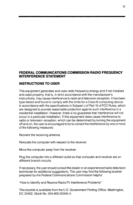#### **FEDERAL COMMUNICATIONS COMMISSION RADIO FREQUENCY INTERFERENCE STATEMENT**

#### **INSTRUCTIONS TO USER**

This equipment generates and uses radio frequency energy and if not installed and used properly, that is, in strict accordance with the manufacturer's instructions, may cause interference to radio and television reception. It has been type tested and found to comply with the limits for a Class B computing device in accordance with the specifications in Subpart J of Part 15 of FCC Rules, which are designed to provide reasonable protection against such interference in a residential installation. However, there is no guarantee that interference will not occur in a particular installation. If this equipment does cause interference to radio or television reception, which can be determined by turning the equipment off and on, the user is encouraged to try to correct the interference by one or more of the following measures:

Reorient the receiving antenna.

Relocate the computer with respect to the receiver.

Move the computer away from the receiver.

Plug the computer into a different outlet so that computer and receiver are on different branch circuits.

If necessary, the user should consult the dealer or an experienced radio-television technician for additional suggestions. The user may find the following booklet prepared by the Federal Communications Commission helpful:

"How to Identify and Resolve Radio-TV Interference Problems"

This booklet is available from the U.S. Government Printing Office, Washington, DC 20402, Stock No. 004-000-00345-4.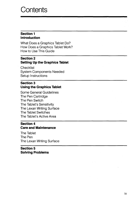### **Contents**

#### **Section 1 Introduction**

What Does a Graphics Tablet Do? How Does a Graphics Tablet Work? How to Use This Guide

#### **Section 2 Setting Up the Graphics Tablet**

**Checklist** System Components Needed Setup Instructions

### **Section 3 Using the Graphics Tablet**

Some General Guidelines The Pen Cartridge The Pen Switch The Tablet's Sensitivity The Lexan Writing Surface The Tablet Switches The Tablet's Active Area

### **Section 4 Care and Maintenance**

The Tablet The Pen The Lexan Writing Surface

**Section 5 Solving Problems**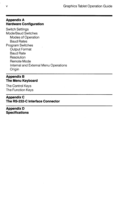#### Appendix A **Hardware Configuration**

Switch Settings Mode/Baud Switches Modes of Operation Baud Rates Program Switches Output Format Baud Rate **Resolution** Remote Mode Internal and External Menu Operations **Origin** 

### **AppendixB The Menu Keyboard**

The Control Keys The Function Keys

#### **Appendix C The RS-232-C Interface Connector**

**AppendixD Specifications**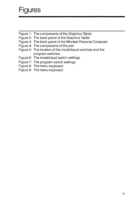### **Figures**

Figure 1: The components of the Graphics Tablet

Figure 2: The back panel of the Graphics Tablet

- Figure 3: The back panel of the Mindset Personal Computer
- Figure 4: The components of the pen
- Figure 5: The location of the mode/baud switches and the program switches
- Figure 6: The mode/baud switch settings
- Figure 7: The program switch settings
- Figure 8: The menu keyboard
- Figure 9: The menu keyboard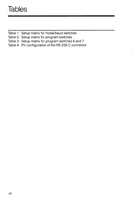- Table 1: Setup matrix for mode/baud switches
- Table 2: Setup matrix for program switches
- Table 3: Setup matrix for program switches 6 and 7
- Table 4: Pin configuration of the RS-232-C connector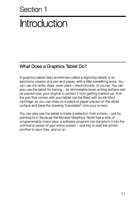### **Section 1**

## **Introduction**

### **What Does a Graphics Tablet Do?**

A graphics tablet (also sometimes called a digitizing tablet) is an electronic version of a pen and paper, with a little something extra. You can use it to write, draw, even paint - electronically, of course. You can also use the tablet for tracing - its removeable lexan writing surface can be placed over your original to protect it from getting marked up. And the pen that comes with your tablet can be fitted with an ink-filled cartridge, so you can draw on a piece of paper placed on the tablet surface and have the drawing "translated" onto your screen.

You can also use the tablet to make a selection from a menu  $-$  just by pointing to it. Because the Mindset Graphics Tablet has a strip of programmable menu keys, a software program can transform it into the command center of your entire system – one key to start the printer, another to save files, and so on.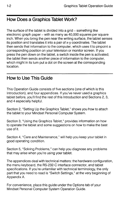### **How Does a Graphics Tablet Work?**

The surface of the tablet is divided into a grid - something like electronic graph paper  $-$  with as many as 40,000 squares per square inch. When you bring the pen near the writing surface, the tablet senses its position and translates it into a pair of x-y coordinates. The tablet then sends that information to the computer, which uses it to pinpoint a corresponding position on your television or monitor screen. If you press the pen down on the tablet, a switch inside the pen is activated; the tablet then sends another piece of information to the computer, which might in its turn put a dot on the screen at the corresponding location.

### **How to Use This Guide**

This Operation Guide consists of five sections (one of which is this Introduction), and four appendices. If you've never used a graphics tablet before, you'll find the rest of this Introduction and Sections 2, 3, and 4 especially helpful.

Section 2, "Setting Up the Graphics Tablet," shows you how to attach the tablet to your Mindset Personal Computer System.

Section 3, "Using the Graphics Tablet," provides information on how to operate the tablet and some suggestions on how to make the best use of it.

Section 4, "Care and Maintenance," will help you keep your tablet in good operating condition.

Section 5, "Solving Problems," can help you diagnose any problems that may arise when you're using your tablet.

The appendices deal with technical matters: the hardware configuration, the menu keyboard, the RS-232-C interface connector, and tablet specifications. If you're unfamiliar with technical terminology, the only part that you need to read is "Switch Settings," at the very beginning of AppendixA.

For convenience, place this guide under the Options tab of your Mindset Personal Computer System Operation Guide.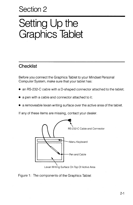### **Section 2**

## **Setting Up the Graphics Tablet**

### **Checklist**

Before you connect the Graphics Tablet to your Mindset Personal Computer System, make sure that your tablet has:

- an RS-232-C cable with a D-shaped connector attached to the tablet;
- a pen with a cable and connector attached to it;
- a removeable lexan writing surface over the active area of the tablet.

If any of these items are missing, contact your dealer.



Figure 1: The components of the Graphics Tablet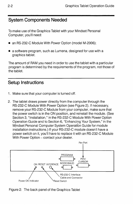### **System Components Needed**

To make use of the Graphics Tablet with your Mindset Personal Computer, you'll need:

- an RS-232-C Module With Power Option (model M-2006);
- a software program, such as Lumena, designed for use with a graphics tablet.

The amount of RAM you need in order to use the tablet with a particular program is determined by the requirements of the program, not those of the tablet. .

### **Setup Instructions**

- 1. Make sure that your computer is turned off.
- 2. The tablet draws power directly from the computer through the RS-232-C Module With Power Option (see Figure 2). If necessary, remove your RS-232-C Module from your computer, make sure that the power switch is in the ON position, and reinstall the module. (See Section 3, "Installation," in the RS-232-C Module With Power Option Operation Guide and to Section 6, "Enhancing Your System," in the Mindset Personal Computer System Operation Guide for module installation instructions.) If your RS-232-C module doesn't have a power switch on it, you'll have to replace it with an RS-232-C Module With Power Option - contact your dealer.



Figure 2: The back panel of the Graphics Tablet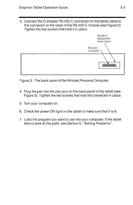3. Connect the D-shaped RS-232-C connector on the tablet cable to the connector on the back of the RS-232-C module (see Figure 2). Tighten the two screws that hold it in place.



Figure 3: The back panel of the Mindset Personal Computer

- 4. Plug the pen into the pen port on the back panel of the tablet (see Figure 3). Tighten the two screws that hold the connector in place.
- 5. Turn your computer on.
- 6. Check the power ON light on the tablet to make sure that it is lit.
- 7. Load the program you want to use into your computer. If the tablet fails to work at this point, see Section 5, "Solving Problems."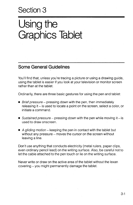### **Section 3**

## Using the **Graphics Tablet**

### **Some General Guidelines**

You'll find that, unless you're tracing a picture or using a drawing guide, using the tablet is easier if you look at your television or monitor screen rather than at the tablet.

Ordinarily, there are three basic gestures for using the pen and tablet:

- $\bullet$  Brief pressure pressing down with the pen, then immediately releasing it - is used to locate a point on the screen, select a color, or initiate a command.
- Sustained pressure pressing down with the pen while moving it is used to draw onscreen.
- $\bullet$  A gliding motion keeping the pen in contact with the tablet but without any pressure – moves the cursor on the screen without leaving a line.

Don't use anything that conducts electricity (metal rulers, paper clips, even ordinary pencil lead) on the writing surface. Also, be careful not to let the cable attached to the pen touch or lie on the writing surface.

Never write or draw on the active area of the tablet without the lexan covering - you might permanently damage the tablet.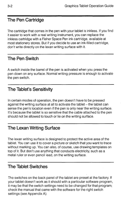### **The Pen Cartridge**

The cartridge that comes in the pen with your tablet is inkless. If you find it easier to work with a real writing instrument, you can replace the inkless cartridge with a Fisher Space Pen ink cartridge, available at most stationery stores. But if you decide to use an ink-filled cartridge, don't write directly on the lexan writing surface with it.

### **The Pen Switch**

A switch inside the barrel of the pen is activated when you press the pen down on any surface. Normal writing pressure is enough to activate the pen switch.

### **The Tablet's Sensitivity**

In certain modes of operation, the pen doesn't have to be pressed against the writing surface at all to activate the tablet - the tablet can sense the pen's location even if the pen is only near the writing surface. It's because the tablet is so sensitive that the cable attached to the pen should not be allowed to touch or lie on the writing surface.

### **The Lexan Writing Surface**

The lexan writing surface is designed to protect the active area of the tablet. You can use it to cover a picture or sketch that you want to trace without marking up. You can also, of course, use drawing templates on top of it. But don't use anything that conducts electricity, such as a metal ruler or even pencil lead, on the writing surface.

### **The Tablet Switches**

The switches on the back panel of the tablet are preset at the factory. If your tablet doesn't work as it should with a particular software program, it may be that the switch settings need to be changed for that program; check the manual that came with the software for the right switch settings (see Appendix A).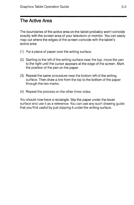### **The Active Area**

The boundaries of the active area on the tablet probably won't coincide exactly with the screen area of your television or monitor. You can easily map out where the edges of the screen coincide with the tablet's active area:

- (1) Put a piece of paper over the writing surface.
- $(2)$  Starting to the left of the writing surface near the top, move the pen to the right until the cursor appears at the edge of the screen. Mark the position of the pen on the paper.
- (3) Repeat the same procedure near the bottom left of the writing surface. Then draw a line from the top to the bottom of the paper through the two marks.
- (4) Repeat the process on the other three sides.

You should now have a rectangle. Slip the paper under the lexan surface and use it as a reference. You can use any such drawing guide that you find useful by just slipping it under the writing surface.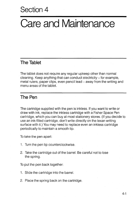## **Care and Maintenance**

### **The Tablet**

The tablet does not require any regular upkeep other than normal cleaning. Keep anything that can conduct electricity - for example, metal rulers, paper clips, even pencil lead - away from the writing and menu areas of the tablet.

### **The Pen**

The cartridge supplied with the pen is inkless. If you want to write or draw with ink, replace the inkless cartridge with a Fisher Space Pen cartridge, which you can buy at most stationery stores. (If you decide to use an ink-filled cartridge, don't write directly on the lexan writing surface with it.) You may need to replace even an inkless cartridge periodically to maintain a smooth tip.

To take the pen apart:

- 1. Turn the pen tip counterclockwise.
- 2. Take the cartridge out of the barrel. Be careful not to lose the spring.

To put the pen back together:

- 1. Slide the cartridge into the barrel.
- 2. Place the spring back on the cartridge.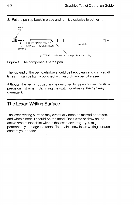



Figure 4: The components of the pen

The top end of the pen cartridge should be kept clean and shiny at all times - it can be lightly polished with an ordinary pencil eraser.

Although the pen is rugged and is designed for years of use, it's still a precision instrument. Jamming the switch or abusing the pen may damage it.

### **The Lexan Writing Surface**

The lexan writing surface may eventually become marred or broken, and when it does it should be replaced. Don't write or draw on the active area of the tablet without the lexan covering – you might permanently damage the tablet. To obtain a new lexan writing surface, contact your dealer.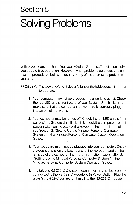### **Section 5**

## **Solving Problems**

With proper care and handling, your Mindset Graphics Tablet should give you trouble-free operation. However, when problems do occur, you can use the procedures below to identify many of the sources of problems yourself.

PROBLEM: The power ON light doesn't light or the tablet doesn't appear to operate.

- 1. Your computer may not be plugged into a working outlet. Check the red LED on the front panel of your System Unit. It it isn't lit, make sure that the computer's power cord is correctly plugged into an outlet that works.
- 2. Your computer may be turned off. Check the red LED on the front panel of the System Unit. If it isn't lit, check the computer's on/off power switch on the back of the keyboard. For more information, see Section 2, "Setting Up the Mindset Personal Computer System," in the Mindset Personal Computer System Operation Guide.
- 3. Your keyboard might not be plugged into your computer. Check the connections on the back panel of the keyboard and on the left side of the computer. For more information, see Section 2, "Setting Up the Mindset Personal Computer System," in the Mindset Personal Computer System Operation Guide.
- 4. The tablet's RS-232-C D-shaped connector may not be properly connected to the RS-232-C Module With Power Option. Plug the tablet's RS-232-C connector firmly into the RS-232-C module,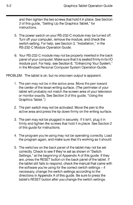and then tighten the two screws that hold it in place. See Section 2 of this guide, "Setting Up the Graphics Tablet," for instructions.

- 5. The power switch on your RS-232-C module may be turned off. Turn off your computer, remove the module, and check the switch setting. For help, see Section 3, "Installation," in the RS-232-C Module Operation Guide.
- 6. Your RS-232-C module may not be properly inserted in the back panel of your computer. Make sure that it is seated firmly in its I/O module port. For help, see Section 6, "Enhancing Your System," in the Mindset Personal Computer System Operation Guide.

PROBLEM: The tablet is on, but no onscreen output is apparent.

- 1. The pen may not be in the active area. Move the pen toward the center of the lexan writing surface. (The perimeter of your tablet will probably not match the screen area of your television or monitor exactly. See Section 3 of this guide, "Using the Graphics Tablet.")
- 2. The pen switch may not be activated. Move the pen to the active area and press the tip down firmly on the writing surface.
- 3. The pen may not be plugged in securely. If it isn't, plug it in firmly and tighten the screws that hold it in place. See Section 2 of this guide for instructions.
- 4. The program you're using may not be operating correctly. Load the program again, and make sure that it's working as it should.
- 5. The switches on the back panel of the tablet may not be set correctly. Check to see if they're set as shown in "Switch Settings," at the beginning of Appendix A of this guide. If they are, press the RESET button on the back panel of the tablet. If the tablet still fails to respond, check the manual that came with the software you're using for the correct switch settings - if necessary, change the switch settings according to the directions in Appendix A of this guide. Be sure to press the tablet's RESET button after you change the switch settings.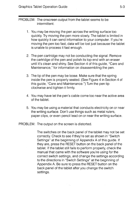| PROBLEM: The onscreen output from the tablet seems to be |
|----------------------------------------------------------|
| intermittent.                                            |

- 1. You may be moving the pen across the writing surface too quickly. Try moving the pen more slowly. The tablet is limited in how quickly it can send information to your computer. If you're moving the pen too fast, data will be lost just because the tablet is unable to process it fast enough.
- 2. The pen cartridge may not be conducting the signal. Remove the cartridge of the pen and polish its top end with an eraser until it's clean and shiny. See Section 4 of this guide, "Care and Maintenance," for information on disassembling the pen.
- 3. The tip of the pen may be loose. Make sure that the spring inside the pen is properly seated. (See Figure 4 in Section 4 of this guide, "Care and Maintenance.") Turn the pen tip clockwise and tighten it firmly.
- 4. You may have let the pen's cable come too near the active area of the tablet.
- 5. You may be using a material that conducts electricity on or near the writing surface. Don't use things such as metal rulers, paper clips, or even pencil lead on or near the writing surface.

PROBLEM: The output on the screen is distorted.

The switches on the back panel of the tablet may not be set correctly. Check to see if they're set as shown in "Switch Settings" at the beginning of Appendix A of this guide. If they are, press the RESET button on the back panel of the tablet. If the tablet still fails to perform properly, check the manual that came with the software you're using for the correct switch settings, and change the settings according to the directions in "Switch Settings" at the beginning of Appendix A. Be sure to press the RESET button on the back panel of the tablet after you change the switch settings.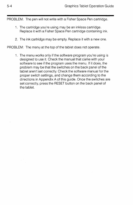PROBLEM: The pen will not write with a Fisher Space Pen cartridge.

- 1. The cartridge you're using may be an inkless cartridge. Replace it with a Fisher Space Pen cartridge containing ink.
- 2. The ink cartridge may be empty. Replace it with a new one.

PROBLEM: The menu at the top of the tablet does not operate.

1. The menu works only if the software program you're using is designed to use it. Check the manual that came with your software to see if the program uses the menu. If it does, the problem may be that the switches on the back panel of the tablet aren't set correctly. Check the software manual for the proper switch settings, and change them according to the directions in Appendix A of this guide. Once the switches are set correctly, press the RESET button on the back panel of the tablet.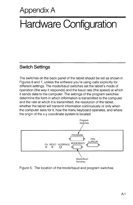### Appendix A

## **Hardware Configuration**

### **Switch Settings**

The switches on the back panel of the tablet should be set as shown in Figures 6 and 7, unless the software you're using calls explicitly for different settings. The mode/baud switches set the tablet's mode of operation (the way it responds) and the baud rate (the speed) at which it sends data to the computer. The settings of the program switches determine the form in which information is transmitted to the computer and the rate at which it is transmitted, the resolution of the tablet, whether the tablet will transmit information continuously or only when the computer asks for it, how the menu keyboard operates, and where the origin of the x-y coordinate system is located.



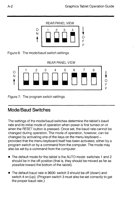

Figure 6: The mode/baud switch settings



Figure 7: The program switch settings

### **Mode/Baud Switches**

The settings of the mode/baud switches determine the tablet's baud rate and its initial mode of operation when power is first turned on or when the RESET button is pressed. Once set, the baud rate cannot be changed during operation. The mode of operation, however, can be changed by activating one of the keys on the menu keyboard provided that the menu keyboard itself has been activated, either by a program switch or by a command from the computer. The mode may also be set by a command from the computer .

- The default mode for the tablet is the AUTO mode: switches 1 and 2 should be in the off position (that is, they should be moved as far as possible toward the bottom of the tablet).
- The default baud rate is 9600: switch 3 should be off (down) and switch 4 on (up). (Program switch 3 must also be set correctly to get the proper baud rate.)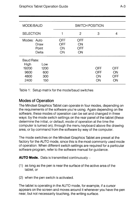| MODE/BAUD                                           |                                  |                               |                               | SWITCH POSITION                      |                        |
|-----------------------------------------------------|----------------------------------|-------------------------------|-------------------------------|--------------------------------------|------------------------|
| <b>SELECTION</b>                                    |                                  |                               | 2                             | З                                    | 4                      |
| Modes: Auto<br>Draw<br>Point<br>Delta               |                                  | OFF<br><b>OFF</b><br>ON<br>ΟN | <b>OFF</b><br>ON<br>OFF<br>ON |                                      |                        |
| Baud Rate:<br>High<br>19200<br>9600<br>4800<br>2400 | Low<br>1200<br>600<br>300<br>150 |                               |                               | <b>OFF</b><br>OFF<br><b>ON</b><br>ON | OFF<br>ON<br>OFF<br>ΟN |

Table 1: Setup matrix for the mode/baud switches

### **Modes of Operation**

The Mindset Graphics Tablet can operate in four modes, depending on the requirements of the software you're using. Again depending on the software, these modes of operation can be set and changed in three ways: by the mode switch settings on the rear panel of the tablet (these determine the initial, or default, mode of operation at the time the computer is turned on); through the menu keyboard above the drawing area; or by command from the software by way of the computer.

The mode switches on the Mindset Graphics Tablet are preset at the factory for the AUTO mode, since this is the most commonly used mode of operation. When different switch settings are required for a particular software program, refer to the software manual for quidance.

**AUTO Mode.** Data is transmitted continuously -

- (1) as long as the pen is near the surface of the active area of the tablet, or
- (2) when the pen switch is activated.

The tablet is operating in the AUTO mode, for example, if a cursor appears on the screen and moves around it whenever you have the pen near, but not necessarily touching, the writing surface.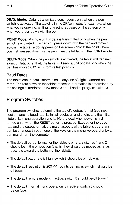**DRAW Mode.** Data is transmitted continuously only when the pen switch is activated. The tablet is in the DRAW mode, for example, when what you're drawing, writing, or tracing appears on the screen only when you press down with the pen.

**POINT Mode.** A single unit of data is transmitted only when the pen switch is activated. If, when you press down with the pen and move it across the tablet, a dot appears on the screen only at the point where you first pressed down on the pen, then the tablet is in the POINT mode.

**DELTA Mode.** When the pen switch is activated, the tablet will transmit a unit of data. After that, the tablet will send a unit of data only when the pen has moved 0.01 inch from its last position.

### **Baud Rates**

The tablet can transmit information at any one of eight standard baud rates. The rate at which the tablet transmits information is determined by the settings of mode/baud switches 3 and 4 and of program switch 3.

### **Program Switches**

The program switches determine the tablet's output format (see next section) and its baud rate, its initial resolution and origin, and the initial state of its menu operation and its I/O protocol when power is first turned on or when the RESET button is pressed. Except for the baud rate and the output format, the major aspects of the tablet's operation can be changed through one of the keys on the menu keyboard or by a command from the computer.

- The default output format for the tablet is binary: switches 1 and 2 should be in the off position (that is, they should be moved as far as possible toward the bottom of the tablet).
- The default baud rate is high: switch 3 should be off (down).
- The default resolution is 200 PPI (points per inch): switch 4 should be off (down).
- The default remote mode is inactive: switch 5 should be off (down).
- The default internal menu operation is inactive: switch 6 should be on (up).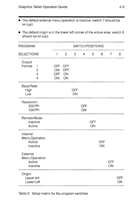- The default external menu operation is inactive: switch 7 should be on  $(up)$ .
- The default origin is in the lower left corner of the active area: switch 8 should be on (up).

| <b>PROGRAM</b>                                                                            |                                             |                               |                  |                  | SWITCH POSITIONS |                  |                |           |
|-------------------------------------------------------------------------------------------|---------------------------------------------|-------------------------------|------------------|------------------|------------------|------------------|----------------|-----------|
| <b>SELECTIONS</b>                                                                         | $\mathbf 1$                                 | $\overline{c}$                | 3                | 4                | 5                | 6                | $\overline{7}$ | 8         |
| Output<br>Format:<br>$\mathbf{1}$<br>$\frac{2}{3}$<br>$\overline{4}$                      | <b>OFF</b><br><b>ON</b><br><b>OFF</b><br>ON | OFF<br><b>OFF</b><br>ON<br>ON |                  |                  |                  |                  |                |           |
| <b>Baud Rate:</b><br>High<br>Low                                                          |                                             |                               | <b>OFF</b><br>ON |                  |                  |                  |                |           |
| Resolution:<br>200 PPI<br>100 PPI                                                         |                                             |                               |                  | <b>OFF</b><br>ON |                  |                  |                |           |
| Remote Mode:<br>Inactive<br>Active                                                        |                                             |                               |                  |                  | <b>OFF</b><br>ON |                  |                |           |
| Internal<br>Menu Operation<br>Active<br>Inactive<br>External<br>Menu Operation:<br>Active |                                             |                               |                  |                  |                  | <b>OFF</b><br>ON | <b>OFF</b>     |           |
| Inactive                                                                                  |                                             |                               |                  |                  |                  |                  | ON             |           |
| Origin:<br>Upper left<br>Lower Left                                                       |                                             |                               |                  |                  |                  |                  |                | OFF<br>ON |

Table 2: Setup matrix for the program switches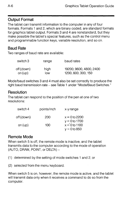### **Output Format**

The tablet can transmit information to the computer in any of four formats. Formats 1 and 2, which are binary coded, are standard formats for graphics tablet output. Formats 3 and 4 are nonstandard, but they make possible the tablet's special features, such as the control menu and programmable function keys, variable resolution, and so on.

### **Baud Rate**

Two ranges of baud rate are available:

| switch 3   | range | baud rates              |
|------------|-------|-------------------------|
| off (down) | high  | 19200, 9600, 4800, 2400 |
| on $(up)$  | low   | 1200, 600, 300, 150     |

Mode/baud switches 3 and 4 must also be set correctly to produce the right baud transmission rate - see Table 1 under "Mode/Baud Switches."

### **Resolution**

The tablet can respond to the position of the pen at one of two resolutions:

| switch 4   | points/inch | x-y range                                            |
|------------|-------------|------------------------------------------------------|
| off (down) | 200         | $x = 0$ to 2200                                      |
| on $(up)$  | 100         | $y = 0$ to 1700<br>$x = 0$ to 1100<br>$y = 0$ to 850 |
|            |             |                                                      |

### **Remote Mode**

When switch 5 is off, the remote mode is inactive, and the tablet transmits data to the computer according to the mode of operation (AUTO, DRAW, POINT, or DELTA) -

(1) determined by the setting of mode switches 1 and 2, or

(2) selected from the menu keyboard.

When switch 5 is on, however, the remote mode is active, and the tablet will transmit data only when it receives a command to do so from the computer.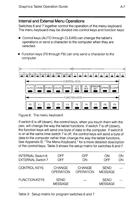### **Internal and External Menu Operations**

Switches 6 and 7 together control the operation of the menu keyboard. The menu keyboard may be divided into control keys and function keys:

- Control keys (AUTO through CLEAR) can change the tablet's operations or send a character to the computer when they are selected .
- Function keys (FO through F9) can only send a character to the computer.



Figure 8: The menu keyboard

If switch 6 is off (down), the control keys, when you touch them with the pen, will change the way the tablet functions. If switch 7 is off (down), the function keys will send one byte of data to the computer. If switch 6 is on at the same time switch 7 is off, the control keys will send a byte of data to the computer rather than change the way the tablet functions. See Appendix B, "The Menu Keyboard," for a more detailed description of the control keys. Table 3 shows the setup matrix for switches 6 and 7.

| <b>INTERNAL Switch 6</b><br><b>EXTERNAL Switch 7</b> | OFF<br>OFF                    | OFF<br>ON                         | ON<br>OFF                     | OΝ<br>OΝ |
|------------------------------------------------------|-------------------------------|-----------------------------------|-------------------------------|----------|
| <b>CONTROL KEYS</b>                                  | <b>CHANGE</b><br>OPERATION    | <b>CHANGE</b><br><b>OPERATION</b> | <b>SEND</b><br><b>MESSAGE</b> |          |
| <b>FUNCTION KEYS</b>                                 | <b>SEND</b><br><b>MESSAGE</b> |                                   | <b>SEND</b><br><b>MESSAGE</b> |          |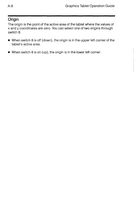### **Origin**

The origin is the point of the active area of the tablet where the values of x and y coordinates are zero. You can select one of two origins through switch 8:

- When switch 8 is off (down); the origin is in the upper left corner of the tablet's active area.
- When switch 8 is on (up), the origin is in the lower left corner.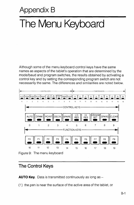### **Appendix B**

## **The Menu Keyboard**

Although some of the menu keyboard control keys have the same names as aspects of the tablet's operation that are determined by the mode/baud and program switches, the results obtained by activating a control key and by setting the corresponding program switch are not necessarily the same. The differences and similarities are noted below.



### **The Control Keys**

**AUTO Key.** Data is transmitted continuously as long as -

(1) the pen is near the surface of the active area of the tablet, or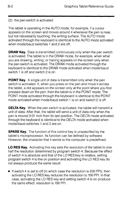(2) the pen switch is activated.

The tablet is operating in the AUTO mode, for example, if a cursor appears on the screen and moves around it whenever the pen is near, but not necessarily touching, the writing surface. The AUTO mode activated through the keyboard is identical to the AUTO mode activated when mode/baud switches 1 and 2 are off.

**DRAW Key.** Data is transmitted continuously only when the pen switch is activated. The tablet is in the DRAW mode, for example, when what you are drawing, writing, or tracing appears on the screen only when the pen switch is activated. The DRAW mode activated through the keyboard is identical to the DRAW mode activated when mode/baud switch 1 is off and switch 2 is on.

**POINT Key.** A single unit of data is transmitted only when the pen switch is activated. If, when you press on the pen and move it across the tablet, a dot appears on the screen only at the point where you first pressed down on the pen, then the tablet is in the POINT mode. The POINT mode activated through the keyboard is identical to the POINT mode activated when mode/baud switch 1 is on and switch 2 is off.

**DELTA Key.** When the pen switch is activated, the tablet will transmit a unit of data. After that, the tablet will send a unit of data only when the pen is moved 0.01 inch from its last position. The DELTA mode activated through the keyboard is identical to the DELTA mode activated when mode/baud switches 1 and 2 are on.

**SPARE Key.** The function of this control key is unspecified by the tablet's microprocessor. Its function can be defined by software. However, the character that it sends to the computer is predefined.

**LO RES Key.** Activating this key sets the resolution of the tablet to one half the resolution determined by program switch 4. Because the effect of switch 4 is absolute and that of the LO RES key is relative, setting program switch 4 to the on position and activating the LO RES key do not always produce the same result:

• If switch 4 is set to off (in which case the resolution is 200 PPI), then activating the LO RES key reduces the resolution to 100 PPI. In that case, activating the LO RES key and setting switch 4 to on produce the same effect: resolution is 100 PPI.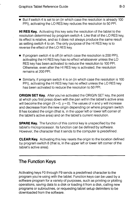• But if switch 4 is set to on (in which case the resolution is already 100 PPI), activating the LO RES key reduces the resolution to 50 PPI.

**HI RES Key.** Activating this key sets the resolution of the tablet to the resolution determined by program switch 4. Like that of the LO RES key, its effect is relative, and so it does not always produce the same result as setting switch 4 to on. The only purpose of the HI RES key is to reverse the effect of the LO RES key.

- If program switch 4 is off (in which case the resolution is 200 PPI). activating the HI RES key has no effect whatsoever unless the LO RES key has been activated to reduce the resolution to 100 PPI. Otherwise, even after the HI RES key is activated, the resolution remains at 200 PPI.
- Similarly, if program switch 4 is on (in which case the resolution is 100 PPI), activating the HI RES key has no effect unless the LO RES key has been activated to reduce the resolution to 50 PPI.

**ORIGIN SET Key.** After you've activated the ORIGIN SET key, the point at which you first press down with the pen within the tablet's active area will become the origin  $(X=0, y=0)$ . The values of x and y will increase and decrease from the new origin depending on where program switch 8 has located the origin (that is, in the upper left or lower left corner of the tablet's active area) and on the tablet's current resolution.

**SPARE Key.** The function of this control key is unspecified by the tablet's microprocessor. Its function can be defined by software. However, the character that it sends to the computer is predefined.

**CLEAR Key.** Activating this key resets the origin to the location defined by program switch 8 (that is, in the upper left or lower left corner of the tablet's active area).

### **The Function Keys**

Activating keys FO through F9 sends a predefined character to the program you're using with the tablet. Function keys can be used by a software program for a variety of purposes, such as printing or plotting operations, saving data to a disk or loading it from a disk, calling new programs or subroutines, or requesting tablet setup delimiters to be downloaded from the software.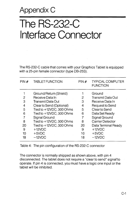### **Appendix C**

## **The RS-232-C Interface Connector**

The RS-232-C cable that comes with your Graphics Tablet is equipped with a 25-pin female connector (type DB-25S).

| PIN# | <b>TABLET FUNCTION</b>      | PIN# | <b>TYPICAL COMPUTER</b><br><b>FUNCTION</b> |
|------|-----------------------------|------|--------------------------------------------|
| 1    | Ground/Return (Shield)      |      | Ground                                     |
| 2    | Receive Data In             | 2    | Transmit Data Out                          |
| 3    | Transmit Data Out           | З    | Receive Data In                            |
| 4    | Clear to Send (Optional)    | 4    | Request to Send                            |
| 5    | Tied to +12VDC, 300 Ohms    | 5    | Clear to Send                              |
| 6    | Tied to +12VDC, 300 Ohms    | 6    | Data Set Ready                             |
| 7    | Signal Ground               | 7    | Signal Ground                              |
| 8    | Tied to +12VDC, 300 Ohms    | 8    | Carrier Detector                           |
| 20   | Tied to $+12VDC$ , 300 Ohms | 20   | Data Terminal Ready                        |
| 9    | $+12VDC$                    | 9    | $+12VDC$                                   |
| 10   | $+5VDC$                     | 10   | $+5VDC$                                    |
| 18   | $-12VDC$                    | 18   | $-12VDC$                                   |

Table 4: The pin configuration of the RS-232-C connector

The connector is normally shipped as shown above, with pin 4 disconnected. The tablet does not require a "clear to send" signal to operate. If pin 4 is connected, you must have a logic one input or the tablet will be inhibited.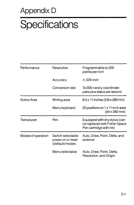## **Appendix 0**

# **Specifications**

| Performance        | Resolution                                                | Programmable to 200<br>points per inch                                                    |  |
|--------------------|-----------------------------------------------------------|-------------------------------------------------------------------------------------------|--|
|                    | Accuracy                                                  | $\pm$ .025 inch                                                                           |  |
|                    | Conversion rate                                           | To 200 x and y coordinate<br>pairs plus status per second                                 |  |
| Active Area        | Writing area                                              | 8.5 x 11 inches (216 x 280 mm)                                                            |  |
|                    | Menu keyboard                                             | 20 positions on 1 x 11-inch area<br>$(34 \times 280 \text{ mm})$                          |  |
| Transducer         | Pen                                                       | Equipped with dry stylus (can<br>be replaced with Fisher Space<br>Pen cartridge with ink) |  |
| Modes of operation | Switch selectable<br>power on or reset<br>(default) modes | Auto, Draw, Point, Delta, and<br>external                                                 |  |
|                    | Menu selectable                                           | Auto, Draw, Point, Delta,<br>Resolution, and Origin                                       |  |